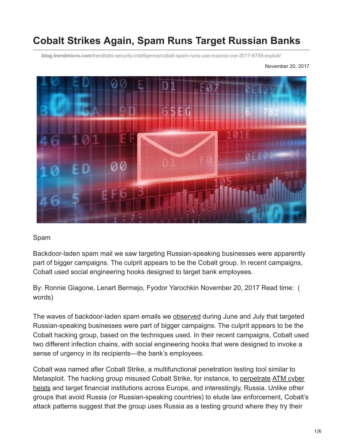# **Cobalt Strikes Again, Spam Runs Target Russian Banks**

**blog.trendmicro.com**[/trendlabs-security-intelligence/cobalt-spam-runs-use-macros-cve-2017-8759-exploit/](https://blog.trendmicro.com/trendlabs-security-intelligence/cobalt-spam-runs-use-macros-cve-2017-8759-exploit/)

November 20, 2017



#### Spam

Backdoor-laden spam mail we saw targeting Russian-speaking businesses were apparently part of bigger campaigns. The culprit appears to be the Cobalt group. In recent campaigns, Cobalt used social engineering hooks designed to target bank employees.

By: Ronnie Giagone, Lenart Bermejo, Fyodor Yarochkin November 20, 2017 Read time: ( words)

The waves of backdoor-laden spam emails we [observed](http://blog.trendmicro.com/trendlabs-security-intelligence/backdoor-carrying-emails-set-sights-on-russian-speaking-businesses/) during June and July that targeted Russian-speaking businesses were part of bigger campaigns. The culprit appears to be the Cobalt hacking group, based on the techniques used. In their recent campaigns, Cobalt used two different infection chains, with social engineering hooks that were designed to invoke a sense of urgency in its recipients—the bank's employees.

Cobalt was named after Cobalt Strike, a multifunctional penetration testing tool similar to Metasploit. The hacking group misused Cobalt Strike, for instance, to [perpetrate](https://www.helpnetsecurity.com/2016/11/22/cobalt-hackers-synchronized-atm-heists/) ATM cyber [heists and target financial institutions across Europe, and interestingly, Russia. Unlike other](https://www.trendmicro.com/vinfo/us/security/news/cybercrime-and-digital-threats/shift-in-atm-malware-landscape-to-network-based-attacks) groups that avoid Russia (or Russian-speaking countries) to elude law enforcement, Cobalt's attack patterns suggest that the group uses Russia as a testing ground where they try their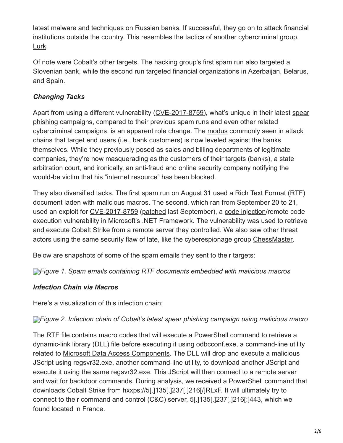latest malware and techniques on Russian banks. If successful, they go on to attack financial institutions outside the country. This resembles the tactics of another cybercriminal group, [Lurk](http://blog.trendmicro.com/trendlabs-security-intelligence/lurk-retracing-five-year-campaign/).

Of note were Cobalt's other targets. The hacking group's first spam run also targeted a Slovenian bank, while the second run targeted financial organizations in Azerbaijan, Belarus, and Spain.

### *Changing Tacks*

[Apart from using a different vulnerability \(C](https://www.trendmicro.com/vinfo/us/security/definition/spear-phishing)[VE-2017-8759](http://blog.trendmicro.com/trendlabs-security-intelligence/microsoft-office-zero-day-vulnerability-addressed-september-patch-tuesday/)[\), what's unique in their latest spear](https://www.trendmicro.com/vinfo/us/security/definition/spear-phishing) phishing campaigns, compared to their previous spam runs and even other related cybercriminal campaigns, is an apparent role change. The [modus](https://www.trendmicro.com/vinfo/us/security/news/cybercrime-and-digital-threats/online-banking-trojan-brief-history-of-notable-online-banking-trojans) commonly seen in attack chains that target end users (i.e., bank customers) is now leveled against the banks themselves. While they previously posed as sales and billing departments of legitimate companies, they're now masquerading as the customers of their targets (banks), a state arbitration court, and ironically, an anti-fraud and online security company notifying the would-be victim that his "internet resource" has been blocked.

They also diversified tacks. The first spam run on August 31 used a Rich Text Format (RTF) document laden with malicious macros. The second, which ran from September 20 to 21, used an exploit for [CVE-2017-8759](http://blog.trendmicro.com/trendlabs-security-intelligence/microsoft-office-zero-day-vulnerability-addressed-september-patch-tuesday/) ([patched](https://portal.msrc.microsoft.com/en-US/security-guidance/advisory/CVE-2017-8759) last September), a [code injection/](https://www.trendmicro.com/vinfo/us/security/news/cybercrime-and-digital-threats/infosec-guide-web-injections)remote code execution vulnerability in Microsoft's .NET Framework. The vulnerability was used to retrieve and execute Cobalt Strike from a remote server they controlled. We also saw other threat actors using the same security flaw of late, like the cyberespionage group [ChessMaster.](http://blog.trendmicro.com/trendlabs-security-intelligence/chessmasters-new-strategy-evolving-tools-tactics/)

Below are snapshots of some of the spam emails they sent to their targets:

*[F](https://blog.trendmicro.com/content/dam/trendmicro/global/en/migrated/security-intelligence-migration-spreadsheet/trendlabs-security-intelligence/2017/11/cobalt-1.png)igure 1. Spam emails containing RTF documents embedded with malicious macros*

### *Infection Chain via Macros*

Here's a visualization of this infection chain:

### *[F](https://blog.trendmicro.com/content/dam/trendmicro/global/en/migrated/security-intelligence-migration-spreadsheet/trendlabs-security-intelligence/2017/11/cobalt-2.jpg)igure 2. Infection chain of Cobalt's latest spear phishing campaign using malicious macro*

The RTF file contains macro codes that will execute a PowerShell command to retrieve a dynamic-link library (DLL) file before executing it using odbcconf.exe, a command-line utility related to [Microsoft Data Access Components](http://msdn2.microsoft.com/en-us/data/aa937729.aspx). The DLL will drop and execute a malicious JScript using regsvr32.exe, another command-line utility, to download another JScript and execute it using the same regsvr32.exe. This JScript will then connect to a remote server and wait for backdoor commands. During analysis, we received a PowerShell command that downloads Cobalt Strike from hxxps://5[.]135[.]237[.]216[/]RLxF. It will ultimately try to connect to their command and control (C&C) server, 5[.]135[.]237[.]216[:]443, which we found located in France.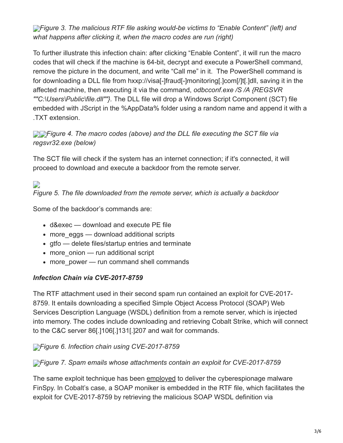**[F](https://blog.trendmicro.com/content/dam/trendmicro/global/en/migrated/security-intelligence-migration-spreadsheet/trendlabs-security-intelligence/2017/11/cobalt-3.png)**<sup>*igure 3. The malicious RTF file asking would-be victims to "Enable Content" (left) and*</sup> *what happens after clicking it, when the macro codes are run (right)*

To further illustrate this infection chain: after clicking "Enable Content", it will run the macro codes that will check if the machine is 64-bit, decrypt and execute a PowerShell command, remove the picture in the document, and write "Call me" in it. The PowerShell command is for downloading a DLL file from hxxp://visa[-]fraud[-]monitoring[.]com[/]t[.]dll, saving it in the affected machine, then executing it via the command, *odbcconf.exe /S /A {REGSVR ""C:\Users\Public\file.dll""}.* The DLL file will drop a Windows Script Component (SCT) file embedded with JScript in the %AppData% folder using a random name and append it with a .TXT extension.

### *[F](https://blog.trendmicro.com/content/dam/trendmicro/global/en/migrated/security-intelligence-migration-spreadsheet/trendlabs-security-intelligence/2017/11/cobalt-4-2.png)igure 4. The macro codes (above) and the DLL file executing the SCT file via regsvr32.exe (below)*

The SCT file will check if the system has an internet connection; if it's connected, it will proceed to download and execute a backdoor from the remote server.

## $\overline{a}$

*Figure 5. The file downloaded from the remote server, which is actually a backdoor*

Some of the backdoor's commands are:

- d&exec download and execute PE file
- more eggs download additional scripts
- gtfo delete files/startup entries and terminate
- more onion run additional script
- more power run command shell commands

### *Infection Chain via CVE-2017-8759*

The RTF attachment used in their second spam run contained an exploit for CVE-2017- 8759. It entails downloading a specified Simple Object Access Protocol (SOAP) Web Services Description Language (WSDL) definition from a remote server, which is injected into memory. The codes include downloading and retrieving Cobalt Strike, which will connect to the C&C server 86[.]106[.]131[.]207 and wait for commands.

*[F](https://blog.trendmicro.com/content/dam/trendmicro/global/en/migrated/security-intelligence-migration-spreadsheet/trendlabs-security-intelligence/2017/11/cobalt-6.jpg)igure 6. Infection chain using CVE-2017-8759*

### *[F](https://blog.trendmicro.com/content/dam/trendmicro/global/en/migrated/security-intelligence-migration-spreadsheet/trendlabs-security-intelligence/2017/11/cobalt-7.png)igure 7. Spam emails whose attachments contain an exploit for CVE-2017-8759*

The same exploit technique has been [employed](https://arstechnica.com/information-technology/2017/09/for-2nd-time-this-year-windows-0day-exploited-to-install-finspy-creepware/) to deliver the cyberespionage malware FinSpy. In Cobalt's case, a SOAP moniker is embedded in the RTF file, which facilitates the exploit for CVE-2017-8759 by retrieving the malicious SOAP WSDL definition via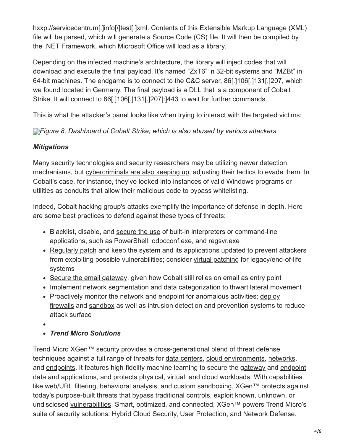hxxp://servicecentrum[.]info[/]test[.]xml. Contents of this Extensible Markup Language (XML) file will be parsed, which will generate a Source Code (CS) file. It will then be compiled by the .NET Framework, which Microsoft Office will load as a library.

Depending on the infected machine's architecture, the library will inject codes that will download and execute the final payload. It's named "ZxT6" in 32-bit systems and "MZBt" in 64-bit machines. The endgame is to connect to the C&C server, 86[.]106[.]131[.]207, which we found located in Germany. The final payload is a DLL that is a component of Cobalt Strike. It will connect to 86[.]106[.]131[.]207[:]443 to wait for further commands.

This is what the attacker's panel looks like when trying to interact with the targeted victims:

*[F](https://blog.trendmicro.com/content/dam/trendmicro/global/en/migrated/security-intelligence-migration-spreadsheet/trendlabs-security-intelligence/2017/11/cobalt-8.jpg)igure 8. Dashboard of Cobalt Strike, which is also abused by various attackers*

### *Mitigations*

Many security technologies and security researchers may be utilizing newer detection mechanisms, but [cybercriminals are also keeping up,](https://www.trendmicro.com/vinfo/us/security/research-and-analysis/predictions/2017) adjusting their tactics to evade them. In Cobalt's case, for instance, they've looked into instances of valid Windows programs or utilities as conduits that allow their malicious code to bypass whitelisting.

Indeed, Cobalt hacking group's attacks exemplify the importance of defense in depth. Here are some best practices to defend against these types of threats:

- Blacklist, disable, and [secure the use](https://www.trendmicro.com/vinfo/us/security/news/cybercrime-and-digital-threats/best-practices-securing-sysadmin-tools) of built-in interpreters or command-line applications, such as [PowerShell,](https://www.trendmicro.com/vinfo/us/security/news/security-technology/security-101-the-rise-of-fileless-threats-that-abuse-powershell) odbcconf.exe, and regsvr.exe
- [Regularly patch](https://www.trendmicro.com/vinfo/us/security/news/vulnerabilities-and-exploits/patching-problems-and-how-to-solve-them) and keep the system and its applications updated to prevent attackers from exploiting possible vulnerabilities; consider [virtual patching](https://www.trendmicro.com/vinfo/us/security/news/virtualization-and-cloud/virtual-patching-in-mixed-environments-how-it-protects-you/) for legacy/end-of-life systems
- [Secure the email gateway](https://www.trendmicro.com/vinfo/us/security/news/cybercrime-and-digital-threats/infosec-guide-email-threats), given how Cobalt still relies on email as entry point
- Implement [network segmentation](https://www.trendmicro.com/vinfo/us/security/news/cyber-attacks/protecting-data-through-network-segmentation) and [data categorization](https://www.trendmicro.com/vinfo/us/security/news/cyber-attacks/keeping-digital-assets-safe-need-for-data-classification) to thwart lateral movement
- Proactively monitor the network and endpoint for anomalous activities; deploy [firewalls and sandbox as well as intrusion detection and prevention systems to](https://www.trendmicro.com/vinfo/us/security/news/security-technology/best-practices-deploying-an-effective-firewall) reduce attack surface
- 
- *Trend Micro Solutions*

Trend Micro [XGen™ security](https://blog.trendmicro.com/en_us/business/products/all-solutions.html) provides a cross-generational blend of threat defense techniques against a full range of threats for [data centers,](https://blog.trendmicro.com/en_us/business/products/hybrid-cloud/security-data-center-virtualization.html) [cloud environments](https://blog.trendmicro.com/en_us/business/products/hybrid-cloud/cloud-migration-security.html), [networks](https://blog.trendmicro.com/en_us/business/products/network.html), and [endpoints](https://blog.trendmicro.com/en_us/business/products/user-protection.html). It features high-fidelity machine learning to secure the [gateway](https://blog.trendmicro.com/en_us/business/products/user-protection/sps.html) and [endpoint](https://blog.trendmicro.com/en_us/business/products/user-protection/sps.html) data and applications, and protects physical, virtual, and cloud workloads. With capabilities like web/URL filtering, behavioral analysis, and custom sandboxing, XGen™ protects against today's purpose-built threats that bypass traditional controls, exploit known, unknown, or undisclosed [vulnerabilities.](https://blog.trendmicro.com/en_us/business/products/user-protection/sps.html) Smart, optimized, and connected, XGen™ powers Trend Micro's suite of security solutions: Hybrid Cloud Security, User Protection, and Network Defense.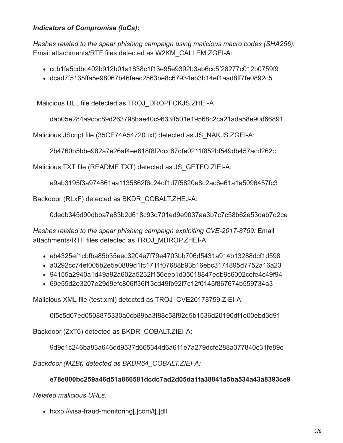### *Indicators of Compromise (IoCs):*

*Hashes related to the spear phishing campaign using malicious macro codes (SHA256):* Email attachments/RTF files detected as W2KM\_CALLEM.ZGEI-A:

- ccb1fa5cdbc402b912b01a1838c1f13e95e9392b3ab6cc5f28277c012b0759f9
- dcad7f5135ffa5e98067b46feec2563be8c67934eb3b14ef1aad8ff7fe0892c5

Malicious DLL file detected as TROJ\_DROPFCKJS.ZHEI-A

dab05e284a9cbc89d263798bae40c9633ff501e19568c2ca21ada58e90d66891

Malicious JScript file (35CE74A54720.txt) detected as JS\_NAKJS.ZGEI-A:

2b4760b5bbe982a7e26af4ee618f8f2dcc67dfe0211f852bf549db457acd262c

Malicious TXT file (README.TXT) detected as JS\_GETFO.ZIEI-A:

e9ab3195f3a974861aa1135862f6c24df1d7f5820e8c2ac6e61a1a5096457fc3

Backdoor (RLxF) detected as BKDR\_COBALT.ZHEJ-A:

0dedb345d90dbba7e83b2d618c93d701ed9e9037aa3b7c7c58b62e53dab7d2ce

*Hashes related to the spear phishing campaign exploiting CVE-2017-8759:* Email attachments/RTF files detected as TROJ\_MDROP.ZHEI-A:

- eb4325ef1cbfba85b35eec3204e7f79e4703bb706d5431a914b13288dcf1d598
- a0292cc74ef005b2e5e0889d1fc1711f07688b93b16ebc3174895d7752a16a23
- 94155a2940a1d49a92a602a5232f156eeb1d35018847edb9c6002cefe4c49f94
- 69e55d2e3207e29d9efc806ff36f13cd49fb92f7c12f0145f867674b559734a3

Malicious XML file (test.xml) detected as TROJ\_CVE20178759.ZIEI-A:

0f5c5d07ed0508875330a0cb89ba3f88c58f92d5b1536d20190df1e00ebd3d91

Backdoor (ZxT6) detected as BKDR\_COBALT.ZIEI-A:

9d9d1c246ba83a646dd9537d665344d6a611e7a279dcfe288a377840c31fe89c

*Backdoor (MZBt) detected as BKDR64\_COBALT.ZIEI-A:*

### **e78e800bc259a46d51a866581dcdc7ad2d05da1fa38841a5ba534a43a8393ce9**

*Related malicious URLs:*

hxxp://visa-fraud-monitoring[.]com/t[.]dll